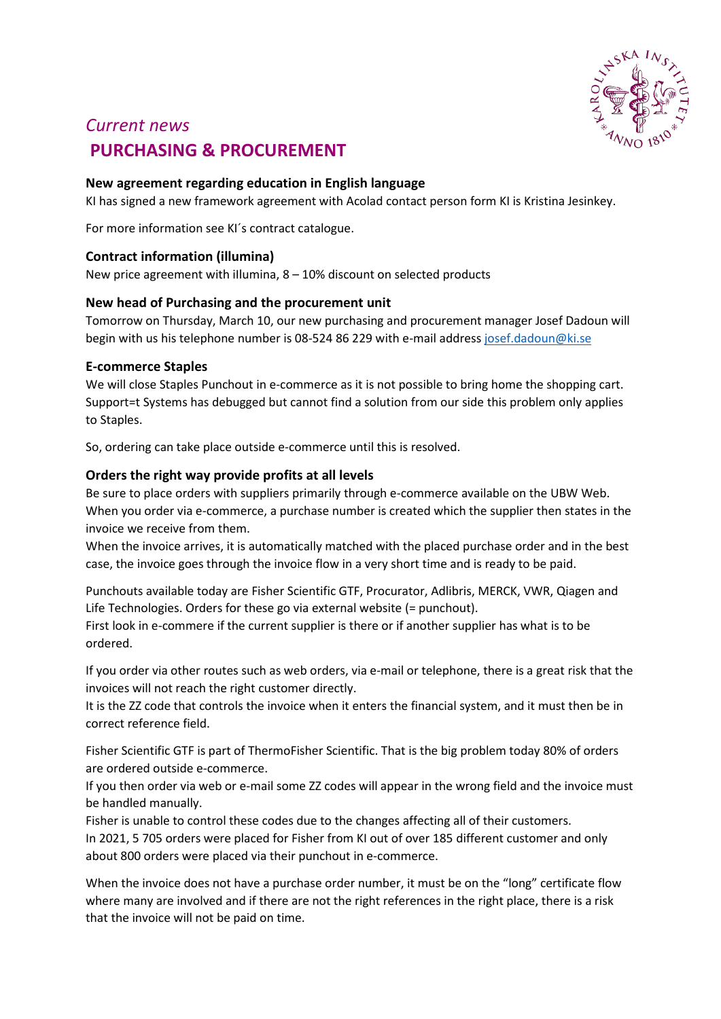

# *Current news* **PURCHASING & PROCUREMENT**

# **New agreement regarding education in English language**

KI has signed a new framework agreement with Acolad contact person form KI is Kristina Jesinkey.

For more information see KI´s contract catalogue.

### **Contract information (illumina)**

New price agreement with iIlumina, 8 – 10% discount on selected products

# **New head of Purchasing and the procurement unit**

Tomorrow on Thursday, March 10, our new purchasing and procurement manager Josef Dadoun will begin with us his telephone number is 08-524 86 229 with e-mail address [josef.dadoun@ki.se](mailto:josef.dadoun@ki.se)

### **E-commerce Staples**

We will close Staples Punchout in e-commerce as it is not possible to bring home the shopping cart. Support=t Systems has debugged but cannot find a solution from our side this problem only applies to Staples.

So, ordering can take place outside e-commerce until this is resolved.

# **Orders the right way provide profits at all levels**

Be sure to place orders with suppliers primarily through e-commerce available on the UBW Web. When you order via e-commerce, a purchase number is created which the supplier then states in the invoice we receive from them.

When the invoice arrives, it is automatically matched with the placed purchase order and in the best case, the invoice goes through the invoice flow in a very short time and is ready to be paid.

Punchouts available today are Fisher Scientific GTF, Procurator, Adlibris, MERCK, VWR, Qiagen and Life Technologies. Orders for these go via external website (= punchout).

First look in e-commere if the current supplier is there or if another supplier has what is to be ordered.

If you order via other routes such as web orders, via e-mail or telephone, there is a great risk that the invoices will not reach the right customer directly.

It is the ZZ code that controls the invoice when it enters the financial system, and it must then be in correct reference field.

Fisher Scientific GTF is part of ThermoFisher Scientific. That is the big problem today 80% of orders are ordered outside e-commerce.

If you then order via web or e-mail some ZZ codes will appear in the wrong field and the invoice must be handled manually.

Fisher is unable to control these codes due to the changes affecting all of their customers.

In 2021, 5 705 orders were placed for Fisher from KI out of over 185 different customer and only about 800 orders were placed via their punchout in e-commerce.

When the invoice does not have a purchase order number, it must be on the "long" certificate flow where many are involved and if there are not the right references in the right place, there is a risk that the invoice will not be paid on time.